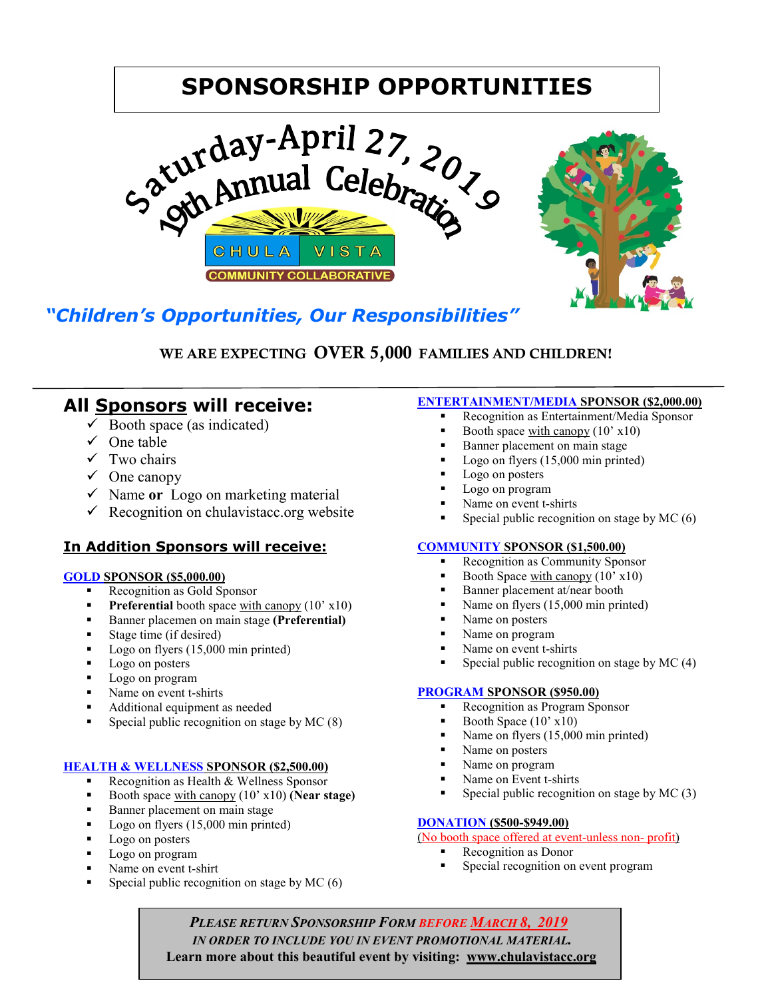# **SPONSORSHIP OPPORTUNITIES**



## *"Children's Opportunities, Our Responsibilities"*

## WE ARE EXPECTING OVER 5,000 FAMILIES AND CHILDREN!

## **All Sponsors will receive:**

- $\checkmark$  Booth space (as indicated)
- $\checkmark$  One table
- $\checkmark$  Two chairs
- $\checkmark$  One canopy
- $\checkmark$  Name or Logo on marketing material
- $\checkmark$  Recognition on chulavistacc.org website

### **In Addition Sponsors will receive:**

#### **GOLD SPONSOR (\$5,000.00)**

- Recognition as Gold Sponsor
- **Preferential** booth space with canopy (10' x10)
- Banner placemen on main stage **(Preferential)**
- Stage time (if desired)
- Logo on flyers (15,000 min printed)
- Logo on posters
- Logo on program
- Name on event t-shirts
- Additional equipment as needed
- Special public recognition on stage by MC (8)

#### **HEALTH & WELLNESS SPONSOR (\$2,500.00)**

- Recognition as Health & Wellness Sponsor
- Booth space with canopy (10' x10) **(Near stage)**
- Banner placement on main stage
- Logo on flyers (15,000 min printed)
- Logo on posters
- Logo on program
- Name on event t-shirt
- Special public recognition on stage by MC (6)

#### **ENTERTAINMENT/MEDIA SPONSOR (\$2,000.00)**

- Recognition as Entertainment/Media Sponsor
- Booth space with canopy (10' x10)
- Banner placement on main stage
- Logo on flyers (15,000 min printed)
- Logo on posters
- **Logo on program**
- Name on event t-shirts
- Special public recognition on stage by MC (6)

#### **COMMUNITY SPONSOR (\$1,500.00)**

- Recognition as Community Sponsor
- Booth Space with canopy  $(10' \times 10)$
- Banner placement at/near booth
- Name on flyers (15,000 min printed)
- Name on posters
- Name on program
- Name on event t-shirts
- Special public recognition on stage by MC (4)

#### **PROGRAM SPONSOR (\$950.00)**

- Recognition as Program Sponsor
- Booth Space (10' x10)
- Name on flyers (15,000 min printed)
- Name on posters
- Name on program
- Name on Event t-shirts
- Special public recognition on stage by MC (3)

#### **DONATION (\$500-\$949.00)**

(No booth space offered at event-unless non- profit)

- **Recognition as Donor**
- Special recognition on event program

 *PLEASE RETURN SPONSORSHIP FORM BEFORE MARCH 8, 2019 IN ORDER TO INCLUDE YOU IN EVENT PROMOTIONAL MATERIAL.*  **Learn more about this beautiful event by visiting: www.chulavistacc.org**